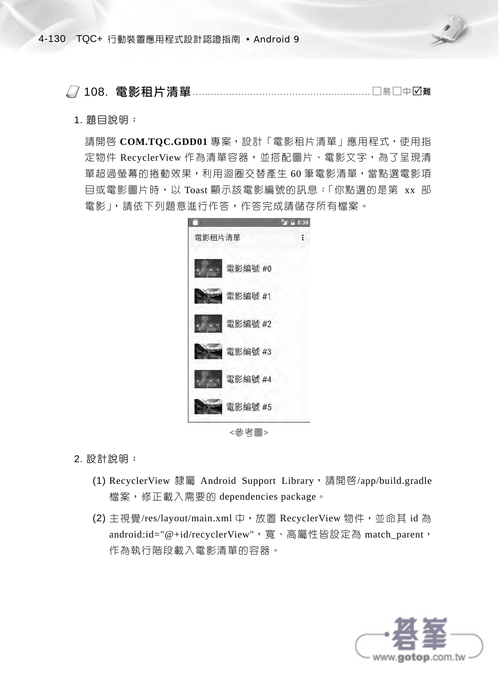

108. 電影租片清單 ........................................................... 易中<sup>難</sup>

## 1. 題目說明:

請開啟 **COM.TQC.GDD01** 專案,設計「電影租片清單」應用程式,使用指 定物件 RecyclerView 作為清單容器,並搭配圖片、電影文字,為了呈現清 單超過螢幕的捲動效果,利用迴圈交替產生 60 筆電影清單,當點選電影項 目或電影圖片時,以 Toast 顯示該電影編號的訊息:「你點選的是第 xx 部 電影」,請依下列題意進行作答,作答完成請儲存所有檔案。



<參考圖>

## 2. 設計說明:

- (1) RecyclerView 隸屬 Android Support Library, 請開啓/app/build.gradle 檔案,修正載入需要的 dependencies package。
- (2) 主視覺/res/layout/main.xml 中,放置 RecyclerView 物件,並命其 id 為 android:id="@+id/recyclerView", 寬、高屬性皆設定為 match\_parent, 作為執行階段載入電影清單的容器。

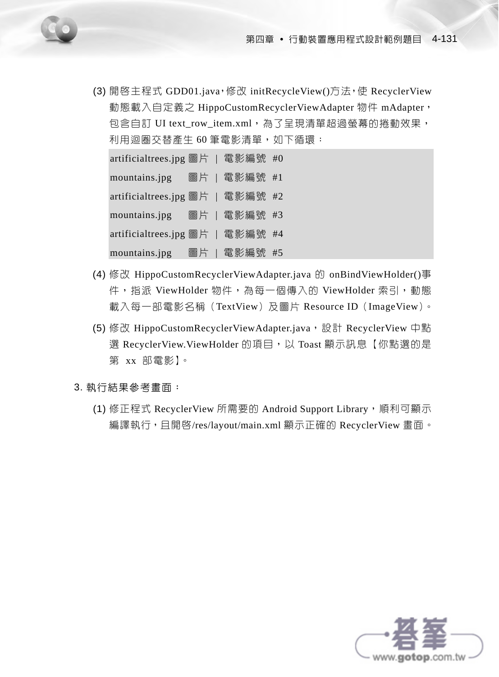(3) 開啟主程式 GDD01.java,修改 initRecycleView()方法,使 RecyclerView 動態載入自定義之 HippoCustomRecyclerViewAdapter 物件 mAdapter, 包含自訂 UI text\_row\_item.xml,為了呈現清單超過螢幕的捲動效果, 利用迴圏交替產生 60 筆電影清單,如下循環:

artificialtrees.jpg 圖片 | 電影編號 #0 mountains.jpg 圖片 | 電影編號 #1 artificialtrees.jpg 圖片 | 電影編號 #2 mountains.jpg 圖片 | 電影編號 #3 artificialtrees.jpg 圖片 | 電影編號 #4 mountains.jpg 圖片 | 電影編號 #5

- (4) 修改 HippoCustomRecyclerViewAdapter.java 的 onBindViewHolder()事 件, 指派 ViewHolder 物件, 為每一個傳入的 ViewHolder 索引, 動態 載入每一部電影名稱(TextView)及圖片 Resource ID(ImageView)。
- (5) 修改 HippoCustomRecyclerViewAdapter.java, 設計 RecyclerView 中點 選 RecyclerView.ViewHolder 的項目,以 Toast 顯示訊息【你點選的是 第 xx 部電影】。

3. 執行結果參考畫面:

(1) 修正程式 RecyclerView 所需要的 Android Support Library,順利可顯示 編譯執行,且開啓/res/layout/main.xml 顯示正確的 RecyclerView 畫面。

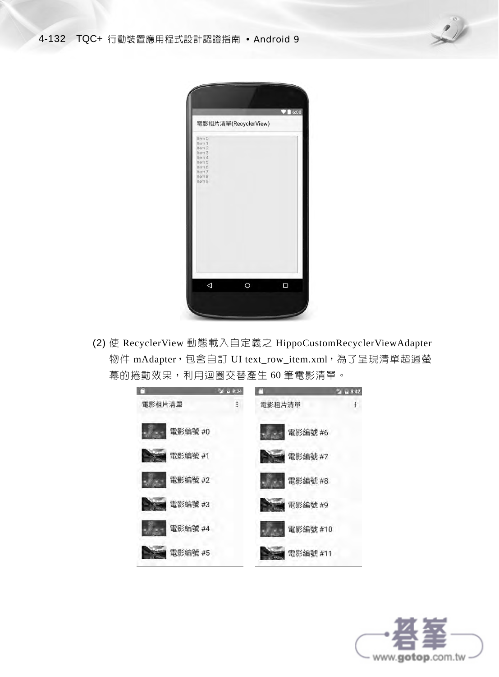

| Item 0                                         | 電影租片清單(RecyclerView) |   |
|------------------------------------------------|----------------------|---|
| Item 1<br>tem 2<br>Item 3<br>Item 4            |                      |   |
| Item 5<br>Item 6<br>Item 7<br>Item 8<br>Item 9 |                      |   |
|                                                |                      |   |
|                                                |                      |   |
|                                                |                      |   |
|                                                |                      |   |
|                                                |                      |   |
| ◁                                              | $\overline{O}$       | Π |

(2) 使 RecyclerView 動態載入自定義之 HippoCustomRecyclerViewAdapter 物件 mAdapter,包含自訂 UI text\_row\_item.xml,為了呈現清單超過螢 幕的捲動效果,利用迴圈交替產生 60 筆電影清單。



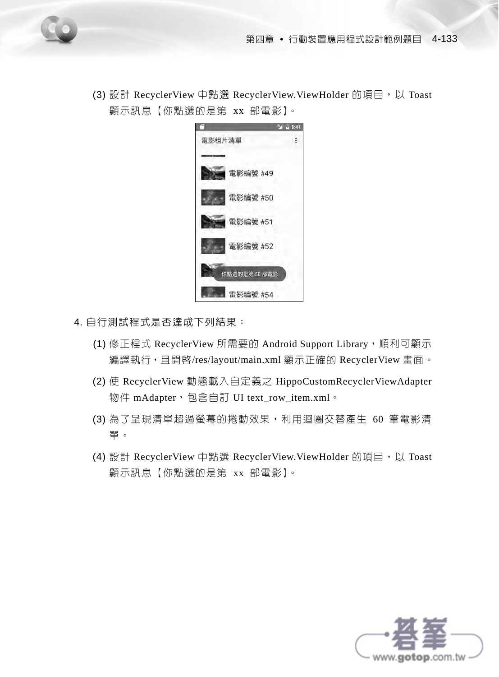(3) 設計 RecyclerView 中點選 RecyclerView.ViewHolder 的項目,以 Toast 顯示訊息【你點選的是第 xx 部電影】。



- 4. 自行測試程式是否達成下列結果:
	- (1) 修正程式 RecyclerView 所需要的 Android Support Library, 順利可顯示 編譯執行,且開啓/res/layout/main.xml 顯示正確的 RecyclerView 畫面。
	- (2) 使 RecyclerView 動態載入自定義之 HippoCustomRecyclerViewAdapter 物件 mAdapter,包含自訂 UI text\_row\_item.xml。
	- (3) 為了呈現清單超過螢幕的捲動效果,利用迴圈交替產生 60 筆電影清 單。
	- (4) 設計 RecyclerView 中點選 RecyclerView.ViewHolder 的項目,以 Toast 顯示訊息【你點選的是第 xx 部電影】。

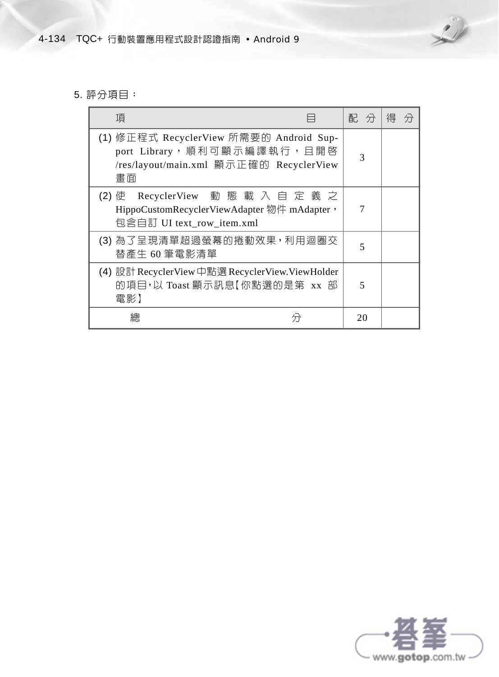

## 5. 評分項目:

| 項                                                                                                                      | 配分 | 得 |
|------------------------------------------------------------------------------------------------------------------------|----|---|
| (1) 修正程式 RecyclerView 所需要的 Android Sup-<br>port Library,順利可顯示編譯執行,且開啓<br>/res/layout/main.xml 顯示正確的 RecyclerView<br>書面 |    |   |
| RecyclerView 動 態 載 入 自 定 義 之<br>(2) 使<br>HippoCustomRecyclerViewAdapter 物件 mAdapter,<br>包含自訂 UI text_row_item.xml      |    |   |
| (3) 為了呈現清單超過螢幕的捲動效果, 利用迴圈交<br>替產生 60 筆電影清單                                                                             | 5  |   |
| (4) 設計 RecyclerView 中點選 RecyclerView.ViewHolder<br>的項目,以 Toast 顯示訊息【你點選的是第 xx 部<br>電影】                                 |    |   |
| 總                                                                                                                      | 20 |   |

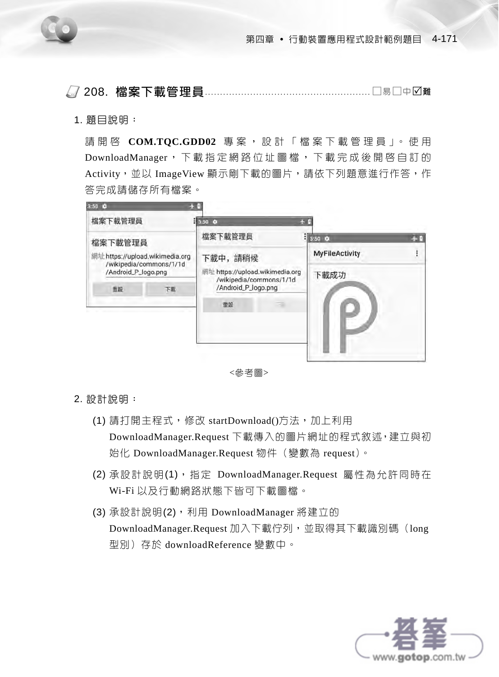

208. 檔案下載管理員....................................................... 易中<sup>難</sup>

1. 題目說明:

請開啟 **COM.TQC.GDD02** 專 案 , 設 計 「 檔 案 下 載 管 理 員 」。 使 用 DownloadManager ,下載指定網路位址圖檔,下載完成後開啟自訂的 Activity,並以 ImageView 顯示剛下載的圖片,請依下列題意進行作答,作 答完成請儲存所有檔案。



<參考圖>

2. 設計說明:

- (1) 請打開主程式,修改 startDownload()方法,加上利用 DownloadManager.Request 下載傳入的圖片網址的程式敘述,建立與初 始化 DownloadManager.Request 物件(變數為 request)。
- (2) 承設計說明(1), 指定 DownloadManager.Request 屬性為允許同時在 Wi-Fi 以及行動網路狀態下皆可下載圖檔。
- (3) 承設計說明(2),利用 DownloadManager 將建立的 DownloadManager.Request 加入下載佇列,並取得其下載識別碼(long 型別)存於 downloadReference 變數中。

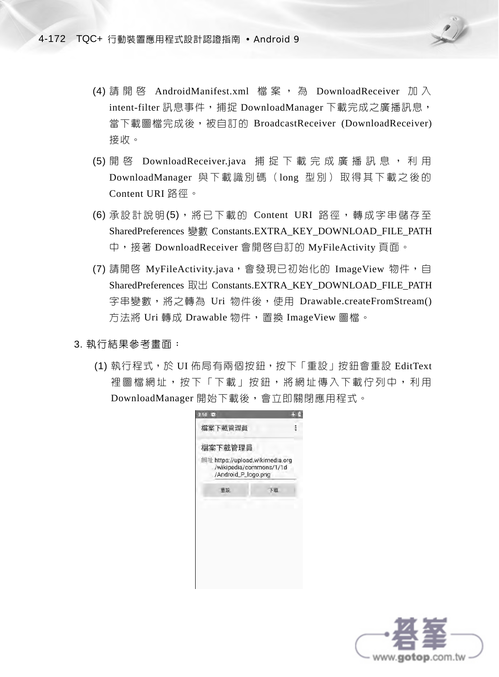

- (4) 請 開 啓 AndroidManifest.xml 檔 案 , 為 DownloadReceiver 加 入 intent-filter 訊息事件,捕捉 DownloadManager 下載完成之廣播訊息, 當下載圖檔完成後,被自訂的 BroadcastReceiver (DownloadReceiver) 接收。
- (5) 開 啓 DownloadReceiver.java 捕 捉 下 載 完 成 廣 播 訊 息 , 利 用 DownloadManager 與下載識別碼 (long 型別) 取得其下載之後的 Content URI 路徑。
- (6) 承設計說明(5), 將已下載的 Content URI 路徑,轉成字串儲存至 SharedPreferences 變數 Constants.EXTRA\_KEY\_DOWNLOAD\_FILE\_PATH 中,接著 DownloadReceiver 會開啟自訂的 MyFileActivity 頁面。
- (7) 請開啓 MyFileActivity.java,會發現已初始化的 ImageView 物件,自 SharedPreferences 取出 Constants.EXTRA\_KEY\_DOWNLOAD\_FILE\_PATH 字串變數,將之轉為 Uri 物件後,使用 Drawable.createFromStream() 方法將 Uri 轉成 Drawable 物件,置換 ImageView 圖檔。
- 3. 執行結果參考畫面:
	- (1) 執行程式,於 UI 佈局有兩個按鈕,按下「重設」按鈕會重設 EditText 裡圖檔網址,按下「下載」按鈕,將網址傳入下載佇列中,利用 DownloadManager 開始下載後,會立即關閉應用程式。

| $3.50 - 12$                                            |                         |  |
|--------------------------------------------------------|-------------------------|--|
| 檔案下載管理員                                                |                         |  |
| 檔案下載管理員                                                |                         |  |
| 網址 https://upload.wikimedia.org<br>/Android_P_logo.png | /wikipedia/commons/1/1d |  |
| 重設                                                     | 下数                      |  |
|                                                        |                         |  |
|                                                        |                         |  |
|                                                        |                         |  |
|                                                        |                         |  |
|                                                        |                         |  |
|                                                        |                         |  |
|                                                        |                         |  |

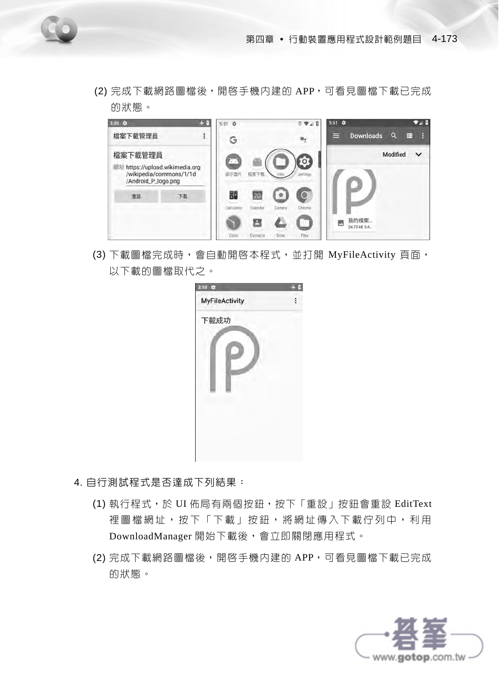(2) 完成下載網路圖檔後,開啓手機内建的 APP,可看見圖檔下載已完成 的狀態。



(3) 下載圖檔完成時,會自動開啓本程式,並打開 MyFileActivity 頁面, 以下載的圖檔取代之。



- 4. 自行測試程式是否達成下列結果:
	- (1) 執行程式,於 UI 佈局有兩個按鈕,按下「重設」按鈕會重設 EditText 裡圖檔網址,按下「下載」按鈕,將網址傳入下載佇列中,利用 DownloadManager 開始下載後,會立即關閉應用程式。
	- (2) 完成下載網路圖檔後,開啓手機内建的 APP,可看見圖檔下載已完成 的狀態。

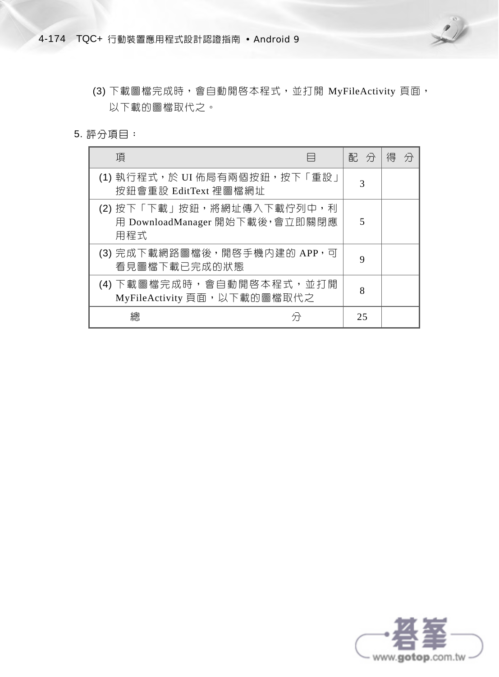

- (3) 下載圖檔完成時,會自動開啓本程式,並打開 MyFileActivity 頁面, 以下載的圖檔取代之。
- 5. 評分項目:

| 項                                                                   | 配 分 | 得<br>分 |
|---------------------------------------------------------------------|-----|--------|
| (1) 執行程式,於 UI 佈局有兩個按鈕,按下「重設」<br>按鈕會重設 EditText 裡圖檔網址                | 3   |        |
| (2) 按下「下載」按鈕,將網址傳入下載佇列中,利<br>用 DownloadManager 開始下載後, 會立即關閉應<br>用程式 | 5   |        |
| (3) 完成下載網路圖檔後, 開啓手機内建的 APP, 可<br>看見圖檔下載已完成的狀態                       | 9   |        |
| (4) 下載圖檔完成時,會自動開啓本程式,並打開<br>MyFileActivity 頁面, 以下載的圖檔取代之            | 8   |        |
|                                                                     | 25  |        |

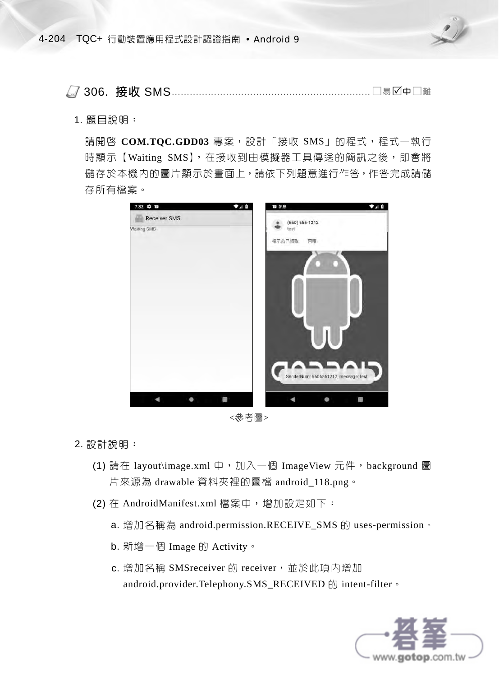

306. 接收 SMS .................................................................. 易中<sup>難</sup>

1. 題目說明:

請開啓 COM.TQC.GDD03 專案,設計「接收 SMS」的程式,程式一執行 時顯示【Waiting SMS】,在接收到由模擬器工具傳送的簡訊之後,即會將 儲存於本機內的圖片顯示於畫面上,請依下列題意進行作答,作答完成請儲 存所有檔案。



<參考圖>

2. 設計說明:

- (1) 請在 layout\image.xml 中, 加入一個 ImageView 元件, background 圖 片來源為 drawable 資料夾裡的圖檔 android\_118.png。
- (2) 在 AndroidManifest.xml 檔案中,增加設定如下:
	- a. 增加名稱為 android.permission.RECEIVE\_SMS 的 uses-permission。
	- b. 新增一個 Image 的 Activity。
	- c. 增加名稱 SMSreceiver 的 receiver, 並於此項内增加 android.provider.Telephony.SMS\_RECEIVED 的 intent-filter。

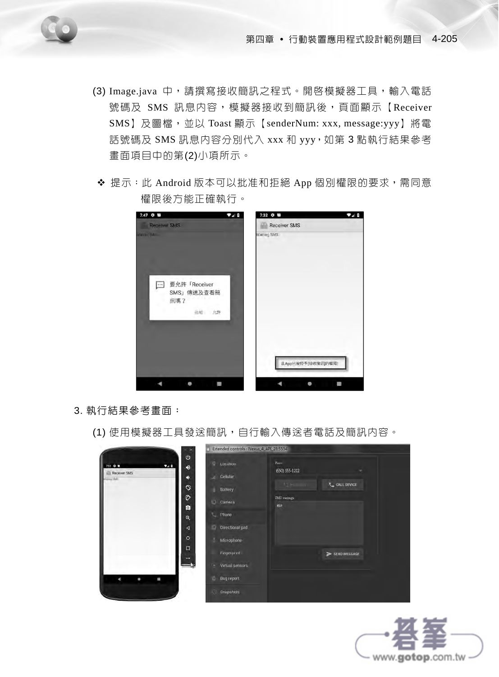- 
- (3) Image.java 中,請撰寫接收簡訊之程式。開啓模擬器工具,輸入電話 號碼及 SMS 訊息内容,模擬器接收到簡訊後,頁面顯示【Receiver SMS】及圖檔,並以 Toast 顯示【senderNum: xxx, message:yyy】將電 話號碼及 SMS 訊息內容分別代入 xxx 和 yyy,如第 3 點執行結果參考 畫面項目中的第(2)小項所示。
- ◆ 提示:此 Android 版本可以批准和拒絕 App 個別權限的要求,需同意 權限後方能正確執行。

| $7:47$ $Q$ $E$<br>920                                                        | 7:32 章 画<br>740     |
|------------------------------------------------------------------------------|---------------------|
| <b>Receiver SMS</b>                                                          | <b>Receiver SMS</b> |
| <b>WAS VETTA</b>                                                             | Waiting SMS         |
| 要允許「Receiver<br>$\left  \cdots \right $<br>SMS」傳送及查看簡<br>訊嗎?<br><b>挂绝 允許</b> |                     |
|                                                                              | 此App已被授予[接收簡訊]的權限!  |

- 3. 執行結果參考畫面:
	- (1) 使用模擬器工具發送簡訊,自行輸入傳送者電話及簡訊内容。